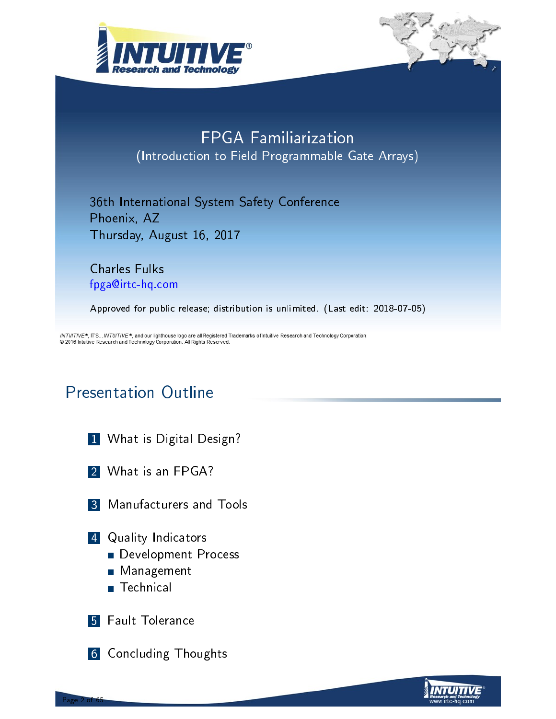



### FPGA Familiarization (Introduction to Field Programmable Gate Arrays)

36th International System Safety Conference Phoenix, AZ Thursday, August 16, 2017

Charles Fulks fpga@irtc-hq.com

Approved for public release; distribution is unlimited. (Last edit: 2018-07-05)

INTUITIVE®, IT'S...INTUITIVE ®, and our lighthouse logo are all Registered Trademarks of Intuitive Research and Technology Corporation. @ 2016 Intuitive Research and Technology Corporation. All Rights Reserved.

### Presentation Outline

- 1 What is Digital Design?
- 2 What is an FPGA?
- 3 Manufacturers and Tools
- **4** [Qu](#page-5-0)ality Indicators
	- Development Process
	- **[Man](#page-14-0)agement**
	- Technical
- **[5](#page-20-0)** Fault Tolerance

Page 2 of 65

[6](#page-26-0) Concluding Thoughts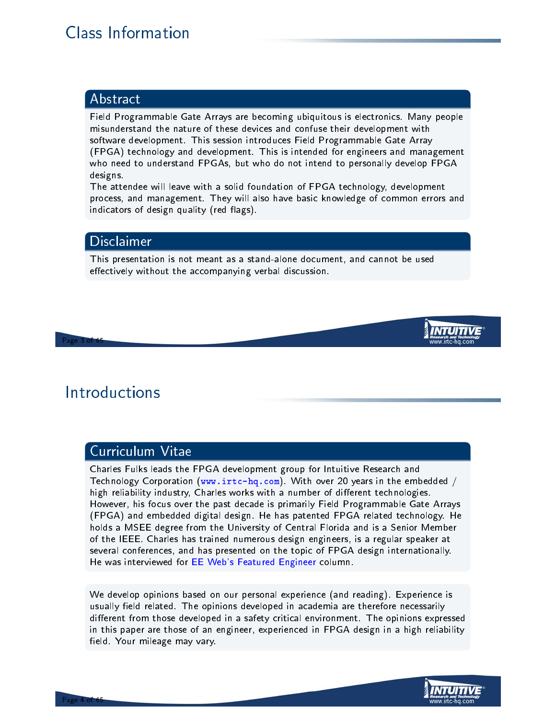### Class Information

#### Abstract

Field Programmable Gate Arrays are becoming ubiquitous is electronics. Many people misunderstand the nature of these devices and confuse their development with software development. This session introduces Field Programmable Gate Array (FPGA) technology and development. This is intended for engineers and management who need to understand FPGAs, but who do not intend to personally develop FPGA designs.

The attendee will leave with a solid foundation of FPGA technology, development process, and management. They will also have basic knowledge of common errors and indicators of design quality (red flags).

#### Disclaimer

This presentation is not meant as a stand-alone document, and cannot be used effectively without the accompanying verbal discussion.

#### Page 3 of 65

### **Introductions**

#### Curriculum Vitae

Charles Fulks leads the FPGA development group for Intuitive Research and Technology Corporation (www.irtc-hq.com). With over 20 years in the embedded / high reliability industry, Charles works with a number of different technologies. However, his focus over the past decade is primarily Field Programmable Gate Arrays (FPGA) and embedded digital design. He has patented FPGA related technology. He holds a MSEE degree from the University of Central Florida and is a Senior Member of the IEEE. Charles has trained numerous design engineers, is a regular speaker at sev[eral conference](www.irtc-hq.com)s, and has presented on the topic of FPGA design internationally. He was interviewed for EE Web's Featured Engineer column.

We develop opinions based on our personal experience (and reading). Experience is usually field related. The opinions developed in academia are therefore necessarily diff[erent from those deve](http://www.eeweb.com/spotlight/interview-with-charles-fulks/)loped in a safety critical environment. The opinions expressed in this paper are those of an engineer, experienced in FPGA design in a high reliability field. Your mileage may vary.



Page 4 of 65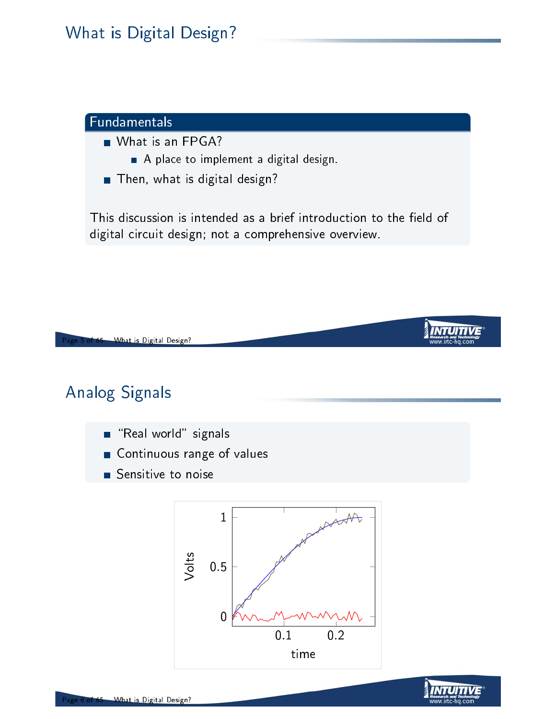#### Fundamentals

- What is an FPGA?
	- A place to implement a digital design.
- **Then, what is digital design?**

This discussion is intended as a brief introduction to the field of digital circuit design; not a comprehensive overview.



### Analog Signals

- $\blacksquare$  "Real world" signals
- **Continuous range of values**
- Sensitive to noise



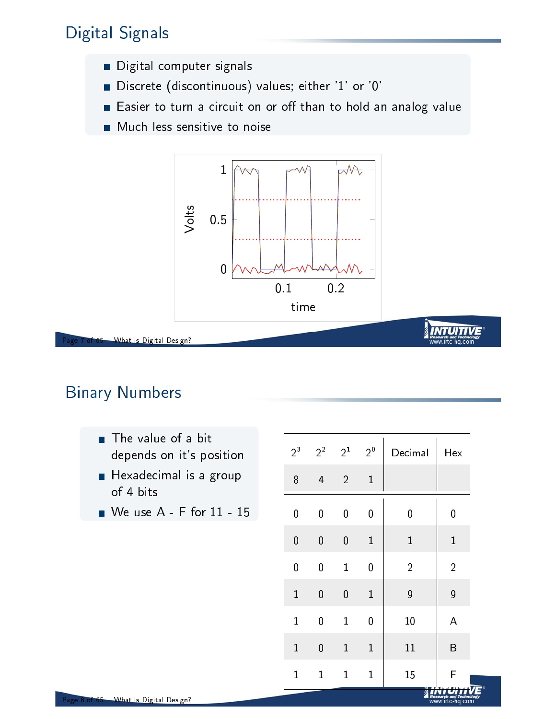### Digital Signals

- **Digital computer signals**
- Discrete (discontinuous) values; either '1' or '0'
- Easier to turn a circuit on or off than to hold an analog value
- **Much less sensitive to noise**



of 65 What is Digital Design?

### Binary Numbers

- $\blacksquare$  The value of a bit depends on it's position
- $\blacksquare$  Hexadecimal is a group of 4 bits
- We use A F for 11 15

| $2^3$        | $2^2$                   | $2^1$          | $2^0$          | Decimal        | Hex            |
|--------------|-------------------------|----------------|----------------|----------------|----------------|
| 8            | $\overline{\mathbf{4}}$ | $\overline{2}$ | $\mathbf{1}$   |                |                |
| 0            | $\overline{0}$          | 0              | $\overline{0}$ | 0              | 0              |
| $\mathbf 0$  | $\overline{0}$          | $\mathbf 0$    | $\mathbf{1}$   | $\mathbf{1}$   | $\mathbf{1}$   |
| 0            | $\overline{0}$          | $\mathbf{1}$   | 0              | $\overline{2}$ | $\overline{2}$ |
| $\mathbf 1$  | $\overline{0}$          | 0              | $\mathbf{1}$   | 9              | 9              |
| $\mathbf 1$  | $\overline{0}$          | $\mathbf{1}$   | $\overline{0}$ | 10             | A              |
| $\mathbf{1}$ | $\overline{0}$          | $\mathbf{1}$   | $\mathbf{1}$   | 11             | B              |
| $\mathbf 1$  | $\mathbf{1}$            | $\mathbf{1}$   | $\mathbf{1}$   | 15             | F              |

*Research and Tech*<br>WWW.IITC-hq.C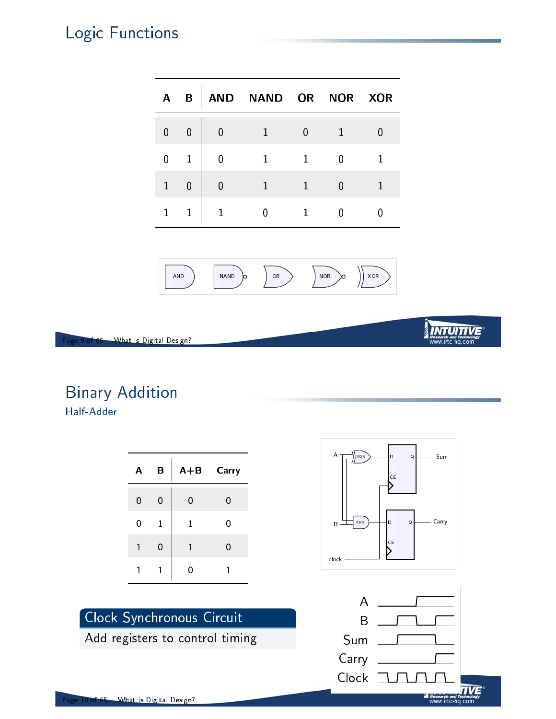### Logic Functions

| A              | B |   | AND NAND OR |   |   | NOR XOR |
|----------------|---|---|-------------|---|---|---------|
| $\overline{0}$ | 0 | 0 |             | Ŋ |   | Ŋ       |
| 0              | 1 | 0 |             |   | 0 |         |
| $\mathbf{1}$   | 0 | 0 |             |   | N |         |
|                | 1 |   |             |   |   |         |



Page 9 of 65 What is Digital Design?

# Binary Addition

Half-Adder

| Α            | В              | $A + B$     | Carry |
|--------------|----------------|-------------|-------|
| 0            | $\overline{0}$ | 0           | 0     |
| 0            | 1              | $\mathbf 1$ | 0     |
| $\mathbf{1}$ | 0              | 1           | 0     |
| 1            | 1              | 0           | 1     |

Clock Synchronous Circuit

Add registers to control timing

#### B XOR AND D CE Q D CE  $\mathsf{C}$ clock Sum Carry

A



#### <sup>P</sup>age 10 o<del>f 65 - What is Digital Design?</del>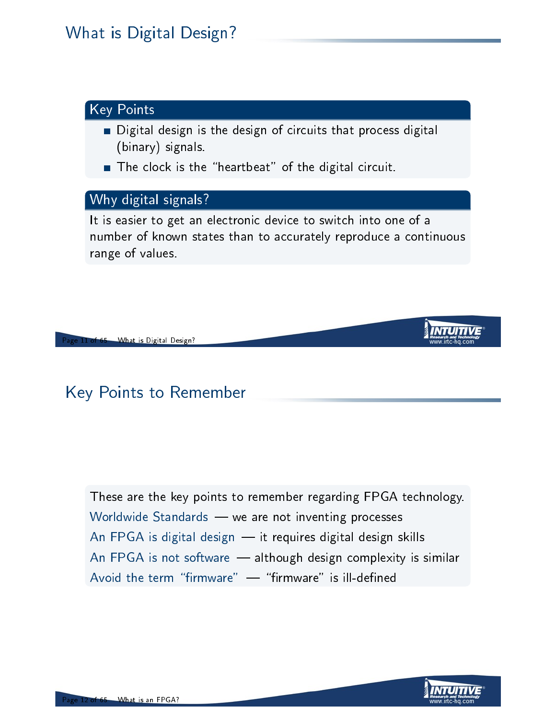### What is Digital Design?

#### Key Points

- Digital design is the design of circuits that process digital (binary) signals.
- The clock is the "heartbeat" of the digital circuit.

#### Why digital signals?

It is easier to get an electronic device to switch into one of a number of known states than to accurately reproduce a continuous range of values.

11 of 65 What is Digital Design?

### Key Points to Remember

<span id="page-5-0"></span>These are the key points to remember regarding FPGA technology. Worldwide Standards - we are not inventing processes An FPGA is digital design  $-$  it requires digital design skills An FPGA is not software  $-$  although design complexity is similar Avoid the term "firmware"  $\cdots$  "firmware" is ill-defined

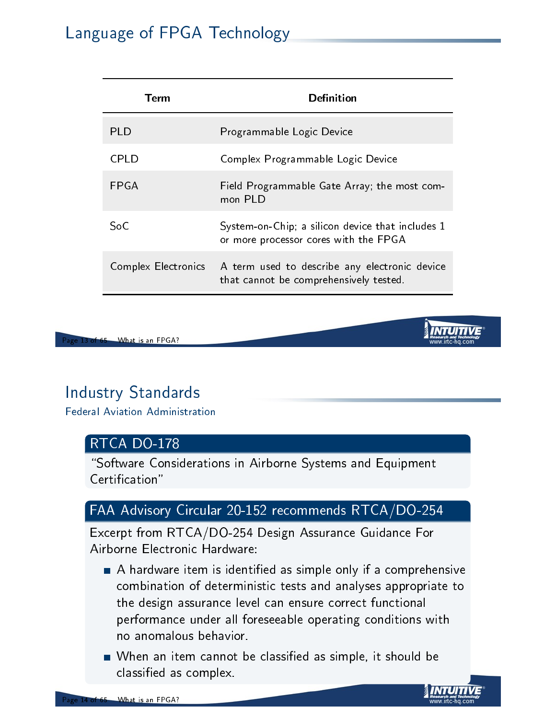### Language of FPGA Technology

| Term                | Definition                                                                                |
|---------------------|-------------------------------------------------------------------------------------------|
| PI D                | Programmable Logic Device                                                                 |
| CPI D               | Complex Programmable Logic Device                                                         |
| <b>FPGA</b>         | Field Programmable Gate Array; the most com-<br>mon PLD                                   |
| SoC                 | System-on-Chip; a silicon device that includes 1<br>or more processor cores with the FPGA |
| Complex Electronics | A term used to describe any electronic device<br>that cannot be comprehensively tested.   |



### Industry Standards

Federal Aviation Administration

#### RTCA DO-178

"Software Considerations in Airborne Systems and Equipment Certication"

#### FAA Advisory Circular 20-152 recommends RTCA/DO-254

Excerpt from RTCA/DO-254 Design Assurance Guidance For Airborne Electronic Hardware:

- A [hardw](http://rgl.faa.gov/Regulatory_and_Guidance_Library/rgAdvisoryCircular.nsf/0/6D4AE0BF1BDE3579862570360055D119?OpenDocument)are item is identied as simple only if a comprehensive combination of deterministic tests and analyses appropriate to the design assurance level can ensure correct functional performance under all foreseeable operating conditions with no anomalous behavior.
- When an item cannot be classified as simple, it should be classied as complex.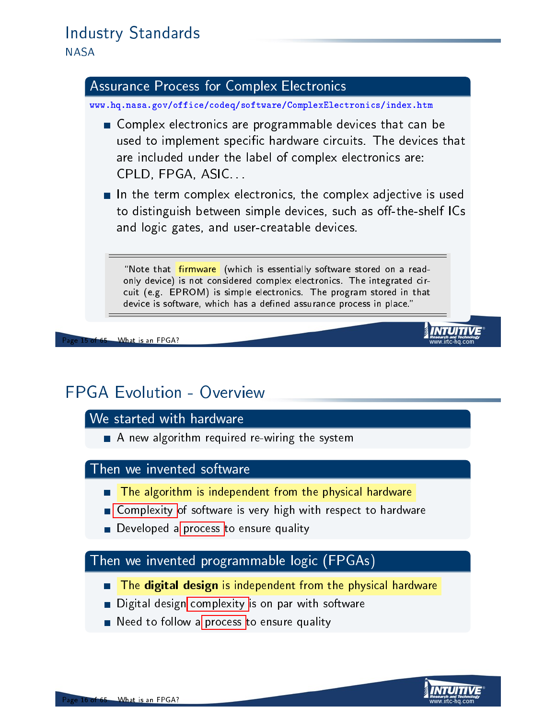### Industry Standards

**NASA** 

#### Assurance Process for Complex Electronics

www.hq.nasa.gov/office/codeq/software/ComplexElectronics/index.htm

- Complex electronics are programmable devices that can be used to implement specific hardware circuits. The devices that are included under the label of complex electronics are: CPLD, FPGA, ASIC. . .
- $\blacksquare$  In the term complex electronics, the complex adjective is used to distinguish between simple devices, such as off-the-shelf ICs and logic gates, and user-creatable devices.

"Note that **firmware** (which is essentially software stored on a readonly device) is not considered complex electronics. The integrated circuit (e.g. EPROM) is simple electronics. The program stored in that device is software, which has a defined assurance process in place."

What is an FPGA?

### FPGA Evolution - Overview

#### We started with hardware

A new algorithm required re-wiring the system

#### Then we invented software

- The algorithm is independent from the physical hardware
- **Complexity of software is very high with respect to hardware**
- $\blacksquare$  Developed a process to ensure quality

#### Then we invented programmable logic (FPGAs)

- **The digital design** is independent from the physical hardware
- **Digital design** complexity is on par with software
- Need to follow a process to ensure quality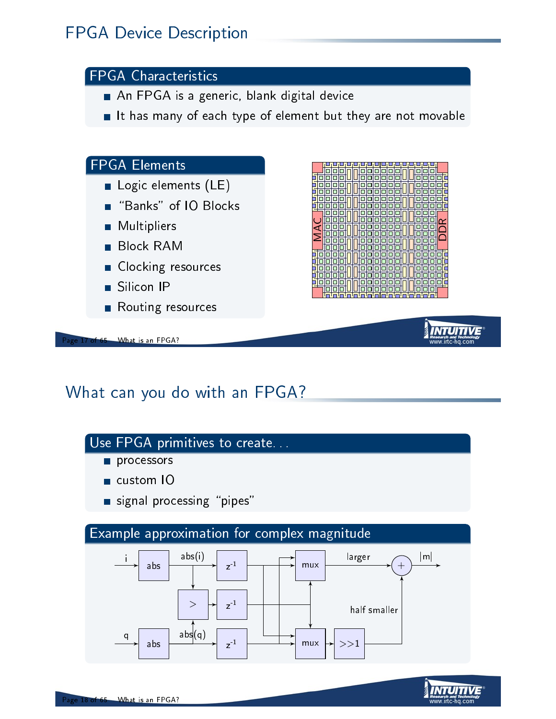### FPGA Device Description

#### FPGA Characteristics

- An FPGA is a generic, blank digital device
- It has many of each type of element but they are not movable

#### FPGA Elements

- Logic elements (LE)
- "Banks" of IO Blocks
- Multipliers
- Block RAM
- Clocking resources
- Silicon IP
- Routing resources





### What can you do with an FPGA?

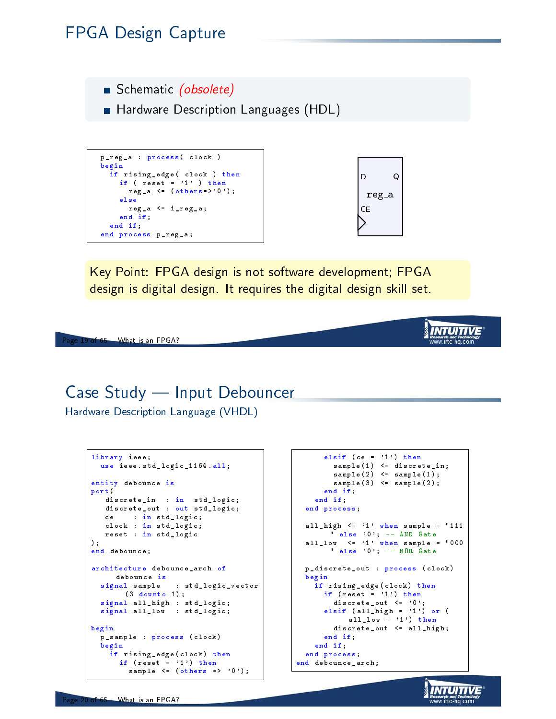### FPGA Design Capture

Schematic (obsolete)

**Hardware Description Languages (HDL)** 

```
p_reg_a : process ( clock )
begin
  if rising_edge ( clock ) then
   if ( \text{reset} = '1' ) then
     reg_a \leq (others=>'0');
    else
     reg_a <= i_reg_a ;
    end if;
  end if;
end process p_reg_a ;
```


**INTUITIVE** www.irtc-ha.com

> *INTUITIVE* ww.irtc-ha.com

Key Point: FPGA design is not software development; FPGA design is digital design. It requires the digital design skill set.

Page 19 of 65 What is an FPGA?

### Case Study — Input Debouncer

Hardware Description Language (VHDL)

```
library ieee ;
 use ieee.std_logic_1164.all;
entity debounce is
port (
  discrete_in : in std_logic ;
  discrete_out : out std_logic;
  ce : in std_logic ;
  clock : in std_logic ;
  reset : in std_logic
);
end debounce ;
architecture debounce_arch of
  debounce is<br>signal sample
                  : std_logic_vector
       (3 downto 1) ;
  signal all_high : std_logic ;
  signal all_low : std_logic;
begin
  p_sample : process ( clock )
  begin
    if rising_edge ( clock ) then
      if (reset = '1') then
        sample \leq (others => '0');
```

```
elsif (ce = '1') then
       sample (1) <= discrete_in ;
        sample(2) \leq = sample(1);sample (3) <= sample (2);
     end if;
    end if;
  end process ;
 all_high \leq '1' when sample = "111
      " else '0 '; -- AND Gate
  all_low \leq '1' when sample = "000
       " else '0'; - NOR Gate
 p_discrete_out : process ( clock )
  begin
   if rising_edge ( clock ) then
     if (reset = '1') then
       discrete_out <= '0 ';
      elsif (all_high = '1') or (
           all_low = '1') then
        discrete_out <= all_high ;
     end if;
   end if;
  end process ;
end debounce arch :
```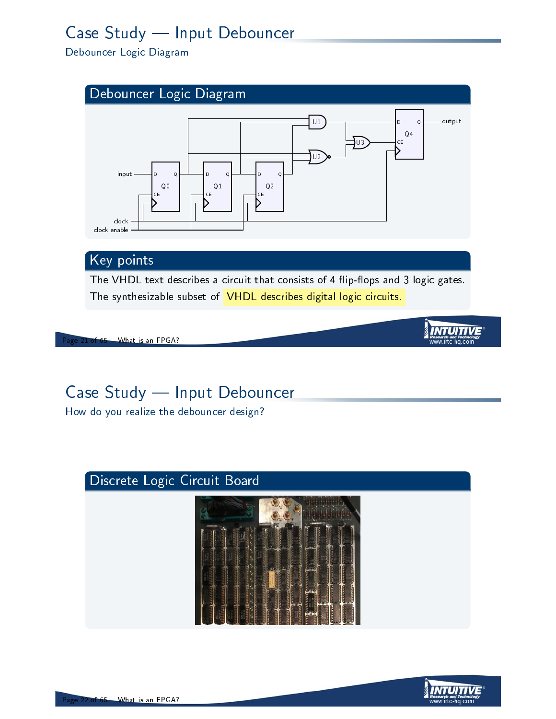## Case Study - Input Debouncer

Debouncer Logic Diagram



The synthesizable subset of VHDL describes digital logic circuits.

#### of 65 What is an FPGA?

### Case Study - Input Debouncer

How do you realize the debouncer design?

### Discrete Logic Circuit Board



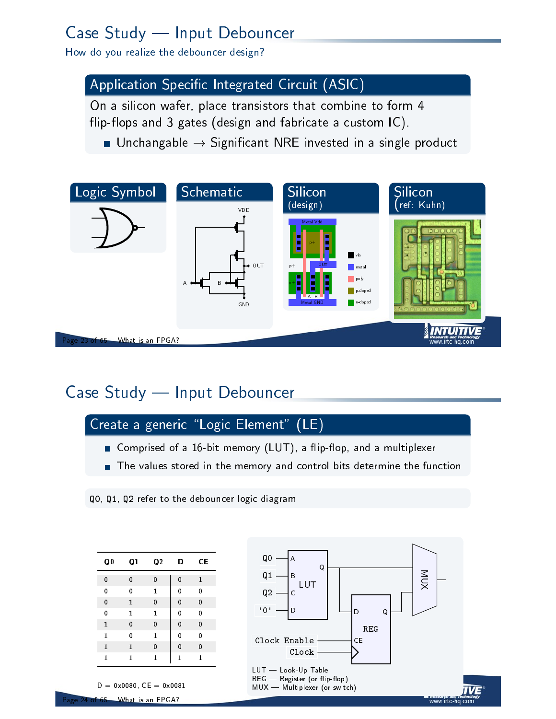## Case Study - Input Debouncer

How do you realize the debouncer design?

#### Application Specific Integrated Circuit (ASIC)

On a silicon wafer, place transistors that combine to form 4 flip-flops and 3 gates (design and fabricate a custom IC).

**If** Unchangable  $\rightarrow$  Significant NRE invested in a single product



### Case Study - Input Debouncer



- Comprised of a 16-bit memory (LUT), a flip-flop, and a multiplexer
- The values stored in the memory and control bits determine the function

|  |  |  |  |  | QO, Q1, Q2 refer to the debouncer logic diagram |  |  |
|--|--|--|--|--|-------------------------------------------------|--|--|
|--|--|--|--|--|-------------------------------------------------|--|--|

| Q <sub>0</sub> | Q1           | Q <sub>2</sub> | D            | СE |
|----------------|--------------|----------------|--------------|----|
| 0              | 0            | 0              | 0            | 1  |
| 0              | 0            | 1              | 0            | 0  |
| 0              | 1            | 0              | 0            | 0  |
| 0              | 1            | 1              | 0            | 0  |
| 1              | 0            | 0              | 0            | 0  |
| 1              | 0            | 1              | 0            | 0  |
| 1              | $\mathbf{1}$ | 0              | 0            | 0  |
| 1              | 1            | $\mathbf{1}$   | $\mathbf{1}$ | 1  |
|                |              |                |              |    |



What is an FPGA?

 $D = 0x0080$ ,  $CE = 0x0081$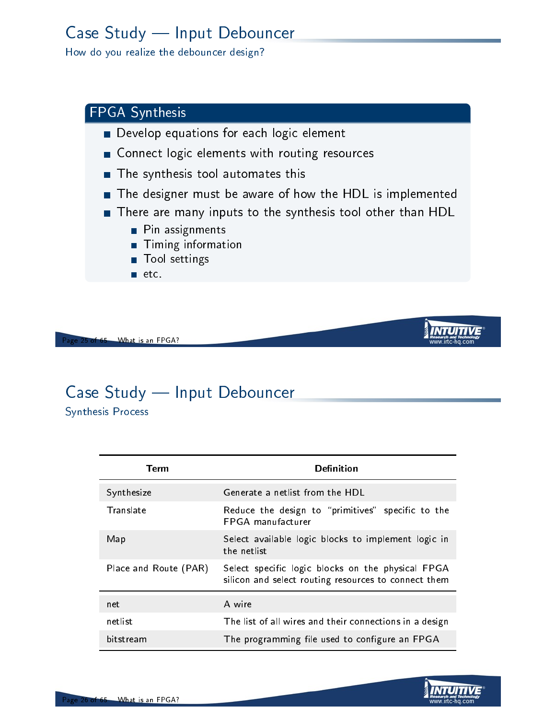## Case Study - Input Debouncer

How do you realize the debouncer design?

#### FPGA Synthesis

- Develop equations for each logic element
- Connect logic elements with routing resources
- **The synthesis tool automates this**
- The designer must be aware of how the HDL is implemented
- There are many inputs to the synthesis tool other than HDL
	- **Pin assignments**
	- **Timing information**
	- Tool settings
	- $\blacksquare$  etc.

What is an FPGA?

### Case Study - Input Debouncer

Synthesis Process

| Term                  | Definition                                                                                                |
|-----------------------|-----------------------------------------------------------------------------------------------------------|
| Synthesize            | Generate a netlist from the HDL                                                                           |
| Translate             | Reduce the design to "primitives" specific to the<br><b>FPGA</b> manufacturer                             |
| Map                   | Select available logic blocks to implement logic in<br>the netlist                                        |
| Place and Route (PAR) | Select specific logic blocks on the physical FPGA<br>silicon and select routing resources to connect them |
| net                   | A wire                                                                                                    |
| netlist               | The list of all wires and their connections in a design                                                   |
| bitstream             | The programming file used to configure an FPGA                                                            |

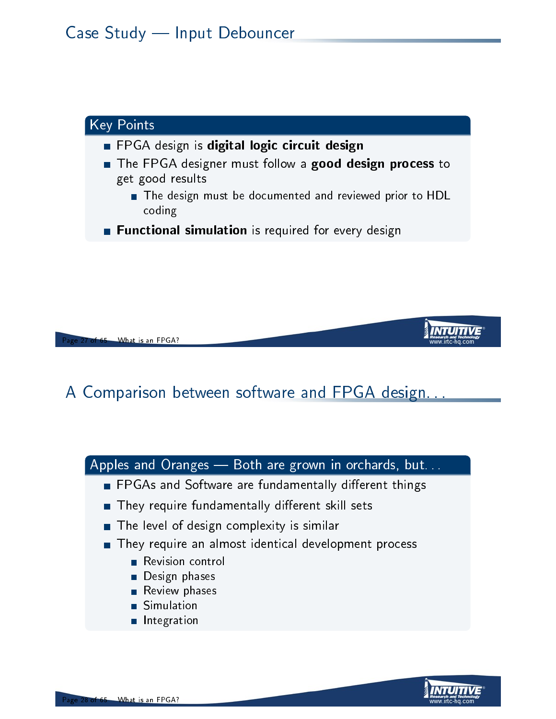

What is an FPGA?

### A Comparison between software and FPGA design



- **FPGAs and Software are fundamentally different things**
- They require fundamentally different skill sets
- The level of design complexity is similar
- They require an almost identical development process
	- **Revision control**
	- **Design phases**
	- **Review phases**
	- Simulation
	- **Integration**

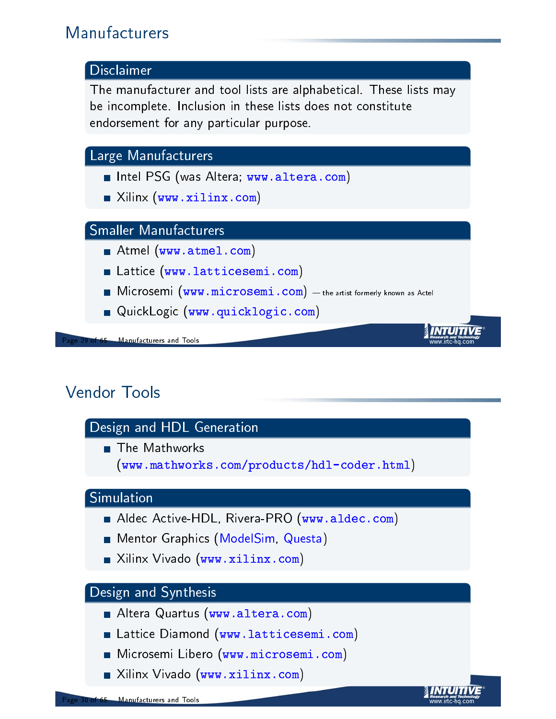### Manufacturers



### Vendor Tools

<span id="page-14-0"></span>

**Nilinx Vivado ([w](www.latticesemi.com)ww.xilinx.com)** 

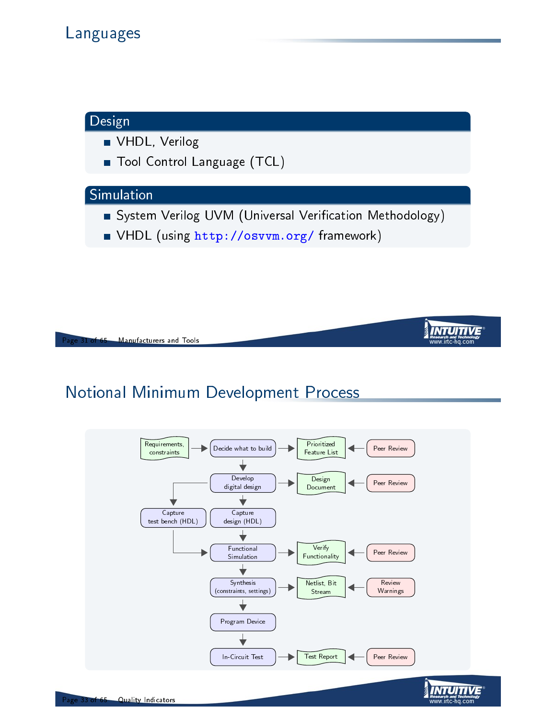### Design

**VHDL**, Verilog

**Tool Control Language (TCL)** 

#### Simulation

**System Verilog UVM (Universal Verification Methodology)** 

INTUITIVE

■ VHDL (using http://osvvm.org/ framework)



### Notional Minimum Development Process

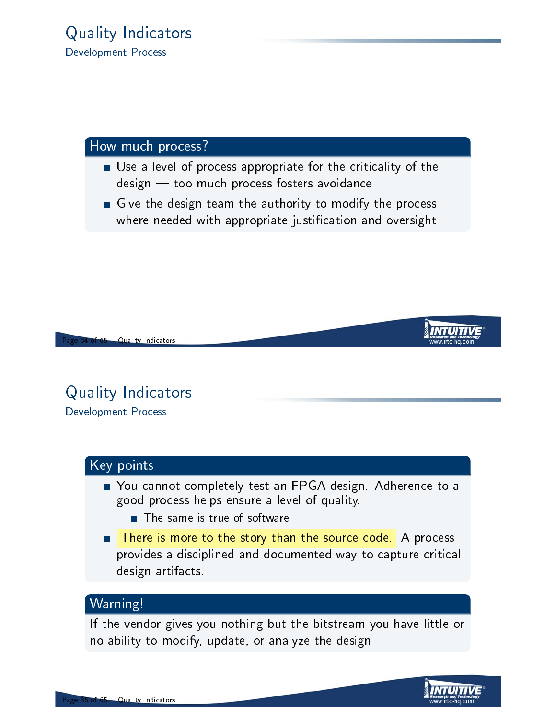#### How much process?

- Use a level of process appropriate for the criticality of the design - too much process fosters avoidance
- Give the design team the authority to modify the process where needed with appropriate justification and oversight



**Quality Indicators** 

### Quality Indicators Development Process

#### Key points

- You cannot completely test an FPGA design. Adherence to a good process helps ensure a level of quality.
	- **The same is true of software**
- There is more to the story than the source code. A process provides a disciplined and documented way to capture critical design artifacts.

#### Warning!

If the vendor gives you nothing but the bitstream you have little or no ability to modify, update, or analyze the design

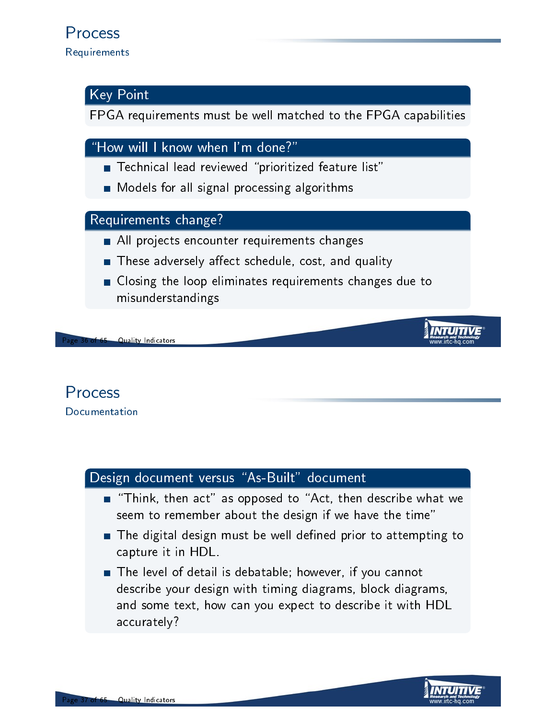#### Key Point

FPGA requirements must be well matched to the FPGA capabilities

"How will I know when I'm done?"

- Technical lead reviewed "prioritized feature list"
- **Models for all signal processing algorithms**

#### Requirements change?

- All projects encounter requirements changes
- These adversely affect schedule, cost, and quality
- Closing the loop eliminates requirements changes due to misunderstandings

**Quality Indicators** 

#### Process Documentation

#### Design document versus "As-Built" document

- $\blacksquare$  "Think, then act" as opposed to "Act, then describe what we seem to remember about the design if we have the time"
- $\blacksquare$  The digital design must be well defined prior to attempting to capture it in HDL.
- The level of detail is debatable; however, if you cannot describe your design with timing diagrams, block diagrams, and some text, how can you expect to describe it with HDL accurately?

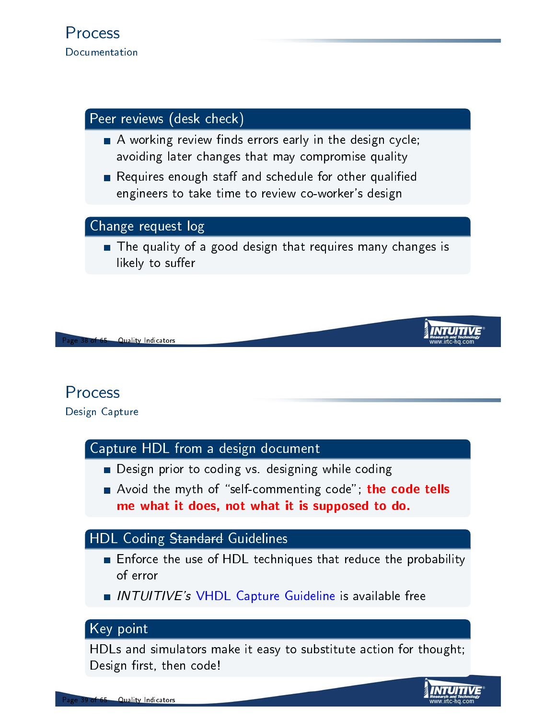#### Peer reviews (desk check)

- $\blacksquare$  A working review finds errors early in the design cycle; avoiding later changes that may compromise quality
- Requires enough staff and schedule for other qualified engineers to take time to review co-worker's design

#### Change request log

The quality of a good design that requires many changes is likely to suffer

**Quality Indicators** 

### Process

Design Capture

#### Capture HDL from a design document

- Design prior to coding vs. designing while coding
- Avoid the myth of "self-commenting code"; the code tells me what it does, not what it is supposed to do.

#### HDL Coding Standard Guidelines

- **Enforce the use of HDL techniques that reduce the probability** of error
- INTUITIVE's VHDL Capture Guideline is available free

#### K[ey point](http://www.irtc-hq.com/technical-solutions/complex-electronicsfpga-services/)

HDLs and simulators make it easy to substitute action for thought; Design first, then code!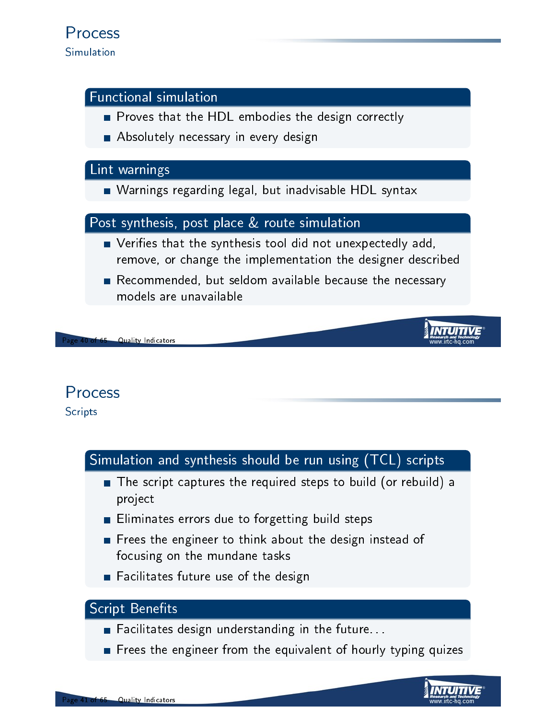#### Functional simulation

- Proves that the HDL embodies the design correctly
- **Absolutely necessary in every design**

#### Lint warnings

Warnings regarding legal, but inadvisable HDL syntax

#### Post synthesis, post place & route simulation

- **Notainally Exercise 1** Verifies that the synthesis tool did not unexpectedly add, remove, or change the implementation the designer described
- Recommended, but seldom available because the necessary models are unavailable

#### **Quality Indicators**

### Process

**Scripts** 

#### Simulation and synthesis should be run using (TCL) scripts

- The script captures the required steps to build (or rebuild) a project
- **Eliminates errors due to forgetting build steps**
- Frees the engineer to think about the design instead of focusing on the mundane tasks
- Facilitates future use of the design

#### **Script Benefits**

- Facilitates design understanding in the future...
- Frees the engineer from the equivalent of hourly typing quizes

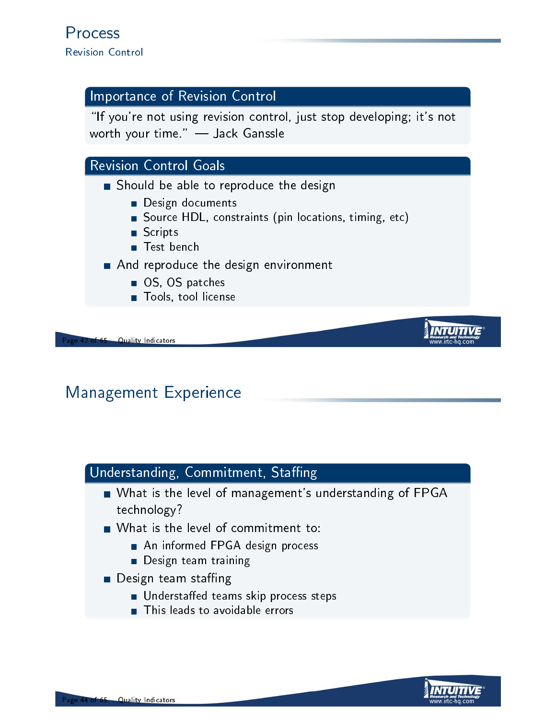#### Importance of Revision Control

"If you're not using revision control, just stop developing; it's not worth your time."  $-$  Jack Ganssle

#### Revision Control Goals

- Should be able to reproduce the design
	- Design documents
	- Source HDL, constraints (pin locations, timing, etc)
	- Scripts
	- Test bench
- And reproduce the design environment
	- OS, OS patches
	- **Tools**, tool license

**Quality Indicators** 

### Management Experience

### <span id="page-20-0"></span>Understanding, Commitment, Staffing

- What is the level of management's understanding of FPGA technology?
- What is the level of commitment to:
	- An informed FPGA design process
	- **Design team training**
- $\blacksquare$  Design team staffing
	- **Understaffed teams skip process steps**
	- **This leads to avoidable errors**

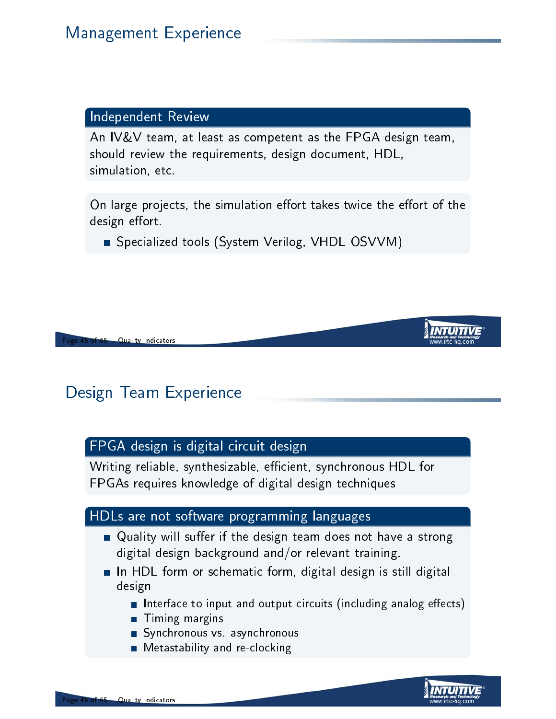#### Independent Review

An IV&V team, at least as competent as the FPGA design team, should review the requirements, design document, HDL, simulation, etc.

On large projects, the simulation effort takes twice the effort of the design effort.

Specialized tools (System Verilog, VHDL OSVVM)

**Quality Indicators** 

### Design Team Experience

#### FPGA design is digital circuit design

Writing reliable, synthesizable, efficient, synchronous HDL for FPGAs requires knowledge of digital design techniques

#### HDLs are not software programming languages

- $\blacksquare$  Quality will suffer if the design team does not have a strong digital design background and/or relevant training.
- In HDL form or schematic form, digital design is still digital design
	- Interface to input and output circuits (including analog effects)
	- **Timing margins**
	- Synchronous vs. asynchronous
	- **Metastability and re-clocking**

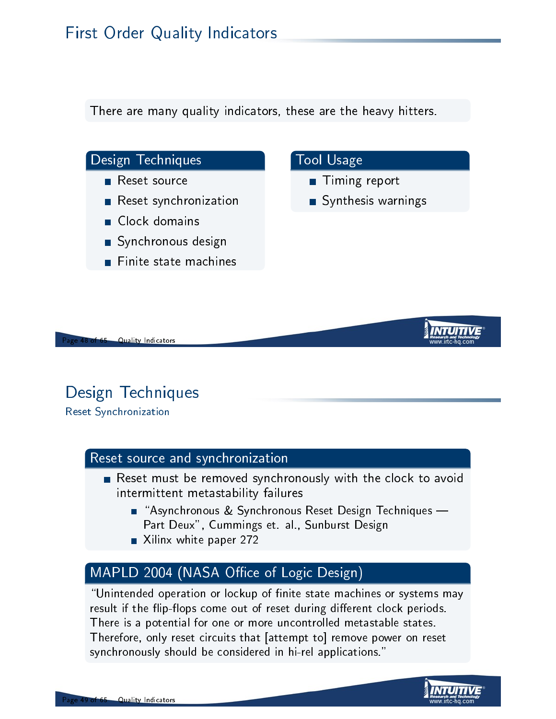There are many quality indicators, these are the heavy hitters.



- Reset synchronization
- Clock domains
- Synchronous design
- Finite state machines



- **Timing report**
- Synthesis warnings



**Quality Indicators** 

### Design Techniques

Reset Synchronization

#### Reset source and synchronization

- Reset must be removed synchronously with the clock to avoid intermittent metastability failures
	- $\blacksquare$  "Asynchronous & Synchronous Reset Design Techniques -Part Deux", Cummings et. al., Sunburst Design
	- Xilinx white paper 272

#### MAPLD 2004 (NASA Office of Logic Design)

"Unintended operation or lockup of finite state machines or systems may result if the flip-flops come out of reset during different clock periods. There is a potential for one or more uncontrolled metastable states. Therefore, only reset circuits that [attempt to] remove power on reset synchronously should be considered in hi-rel applications."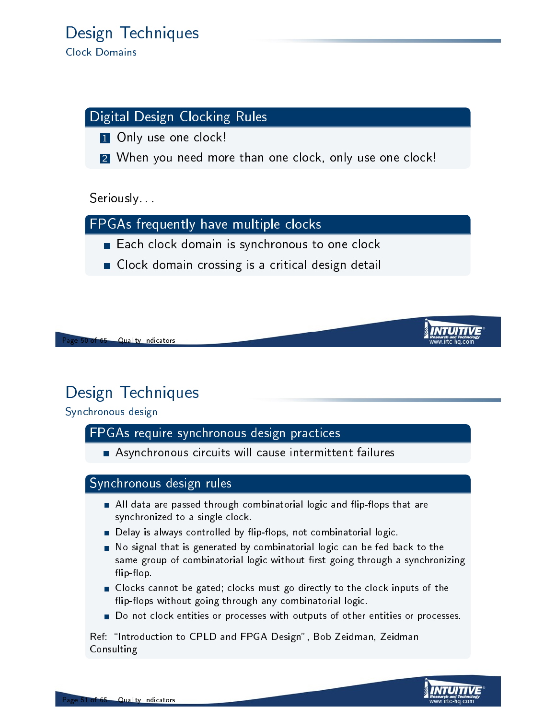#### Digital Design Clocking Rules

1 Only use one clock!

2 When you need more than one clock, only use one clock!

Seriously...

FPGAs frequently have multiple clocks

- Each clock domain is synchronous to one clock
- **Clock domain crossing is a critical design detail**

**Quality Indicators** 

### Design Techniques

Synchronous design

#### FPGAs require synchronous design practices

Asynchronous circuits will cause intermittent failures

#### Synchronous design rules

- All data are passed through combinatorial logic and flip-flops that are synchronized to a single clock.
- **Delay is always controlled by flip-flops, not combinatorial logic.**
- No signal that is generated by combinatorial logic can be fed back to the same group of combinatorial logic without first going through a synchronizing flip-flop.
- Clocks cannot be gated; clocks must go directly to the clock inputs of the flip-flops without going through any combinatorial logic.
- Do not clock entities or processes with outputs of other entities or processes.

Ref: "Introduction to CPLD and FPGA Design", Bob Zeidman, Zeidman **Consulting**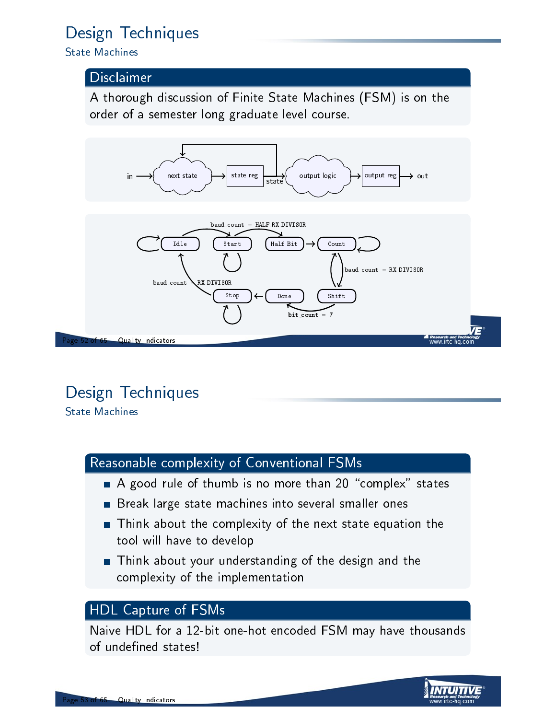### Design Techniques

State Machines

#### Disclaimer

A thorough discussion of Finite State Machines (FSM) is on the order of a semester long graduate level course.



# Design Techniques

State Machines

#### Reasonable complexity of Conventional FSMs

- $\blacksquare$  A good rule of thumb is no more than 20 "complex" states
- Break large state machines into several smaller ones
- Think about the complexity of the next state equation the tool will have to develop
- Think about your understanding of the design and the complexity of the implementation

#### HDL Capture of FSMs

Naive HDL for a 12-bit one-hot encoded FSM may have thousands of undefined states!

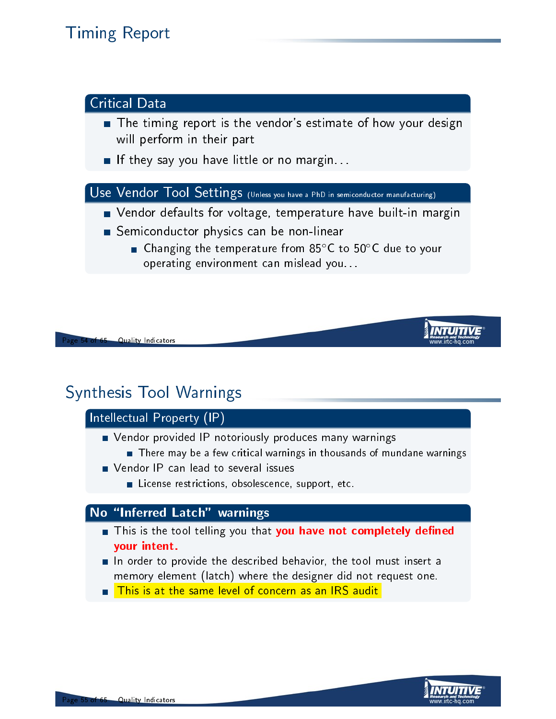### Timing Report



### Synthesis Tool Warnings

#### Intellectual Property (IP)

- **Nendor provided IP notoriously produces many warnings** 
	- There may be a few critical warnings in thousands of mundane warnings
- **Notai** Vendor IP can lead to several issues
	- **License restrictions, obsolescence, support, etc.**

#### No \Inferred Latch" warnings

- **This is the tool telling you that you have not completely defined** your intent.
- $\blacksquare$  In order to provide the described behavior, the tool must insert a memory element (latch) where the designer did not request one.
- **This is at the same level of concern as an IRS audit**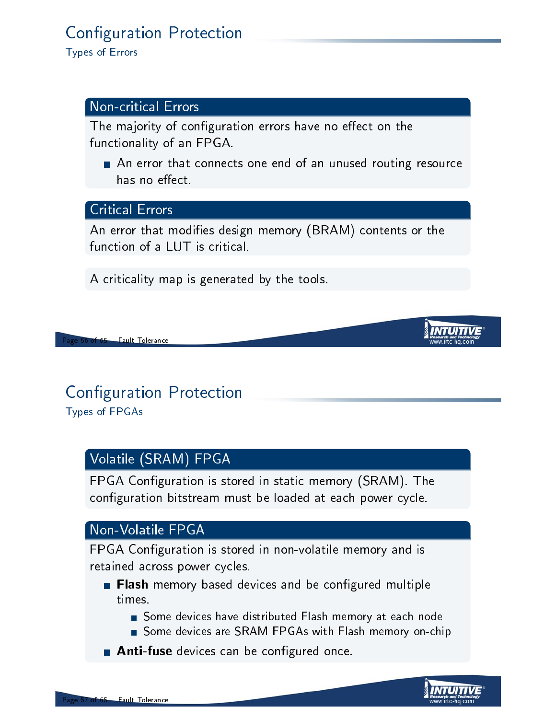### **Configuration Protection**

Types of Errors

#### Non-critical Errors

The majority of configuration errors have no effect on the functionality of an FPGA.

An error that connects one end of an unused routing resource has no effect.

#### Critical Errors

An error that modifies design memory (BRAM) contents or the function of a LUT is critical.

A criticality map is generated by the tools.

**Fault Tolerance** 

# **Configuration Protection**

Types of FPGAs

#### Volatile (SRAM) FPGA

<span id="page-26-0"></span>FPGA Configuration is stored in static memory (SRAM). The configuration bitstream must be loaded at each power cycle.

#### Non-Volatile FPGA

FPGA Configuration is stored in non-volatile memory and is retained across power cycles.

- **Flash** memory based devices and be configured multiple times.
	- Some devices have distributed Flash memory at each node
	- Some devices are SRAM FPGAs with Flash memory on-chip
- **Anti-fuse** devices can be configured once.

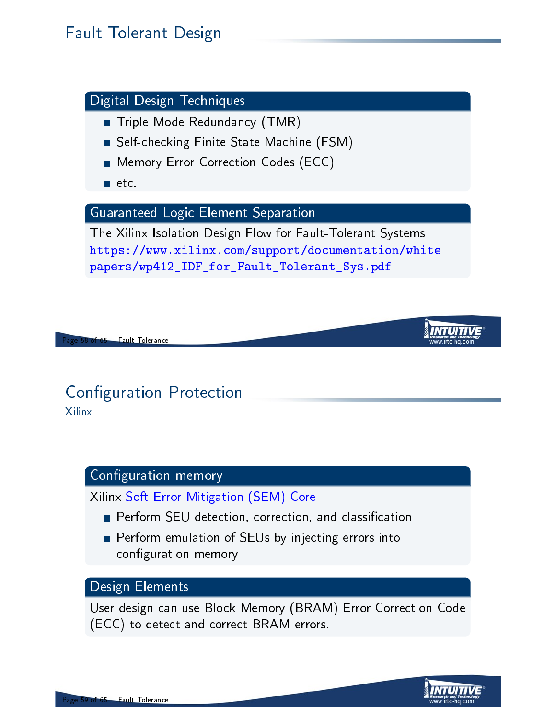### Fault Tolerant Design



# **Configuration Protection**

Xilinx

#### Configuration memory

Xilinx Soft Error Mitigation (SEM) Core

- **Perform SEU detection, correction, and classification**
- **Perform emulation of SEUs by injecting errors into** configuration memory

#### Design Elements

User design can use Block Memory (BRAM) Error Correction Code (ECC) to detect and correct BRAM errors.

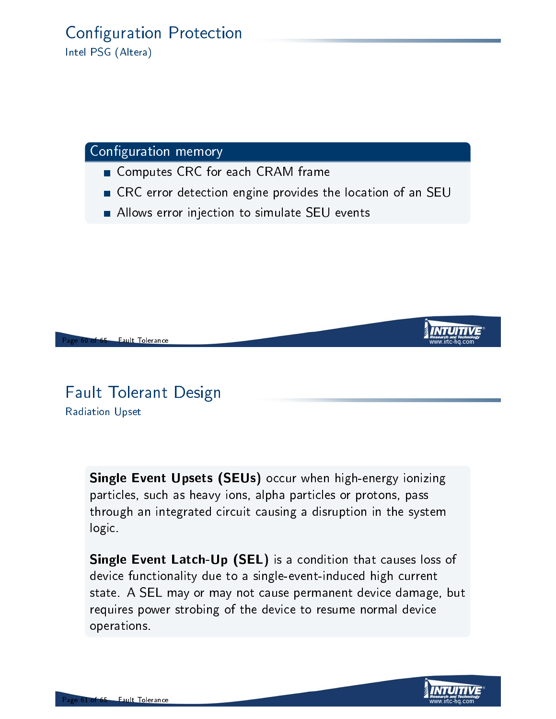#### **Configuration Protection** Intel PSG (Altera)

#### Configuration memory

- Computes CRC for each CRAM frame
- CRC error detection engine provides the location of an SEU
- Allows error injection to simulate SEU events



### Fault Tolerant Design Radiation Upset

Single Event Upsets (SEUs) occur when high-energy ionizing particles, such as heavy ions, alpha particles or protons, pass through an integrated circuit causing a disruption in the system logic.

Single Event Latch-Up (SEL) is a condition that causes loss of device functionality due to a single-event-induced high current state. A SEL may or may not cause permanent device damage, but requires power strobing of the device to resume normal device operations.

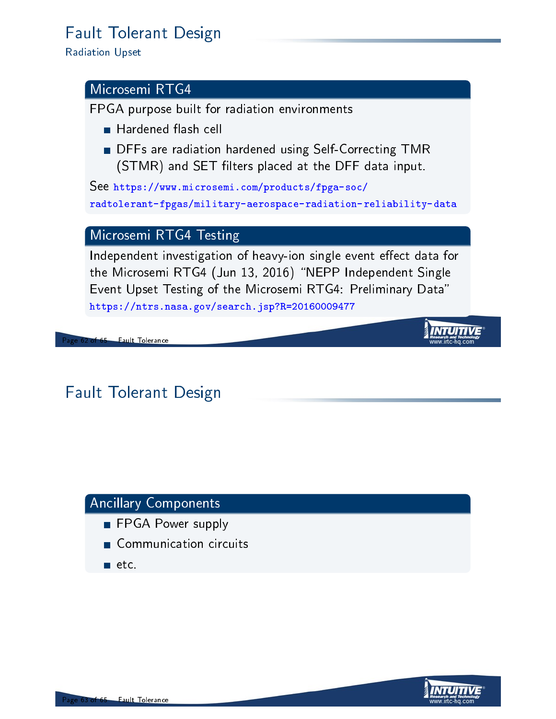### Fault Tolerant Design

Radiation Upset

#### Microsemi RTG4

FPGA purpose built for radiation environments

- **Hardened flash cell**
- **DFFs are radiation hardened using Self-Correcting TMR** (STMR) and SET filters placed at the DFF data input.

See https://www.microsemi.com/products/fpga-soc/ radtolerant-fpgas/military-aerospace-radiation-reliability-data

#### Microsemi RTG4 Testing

Independent investigation of heavy-ion single event effect data for the Microsemi RTG4 (Jun 13, 2016) "NEPP Independent Single Event Upset Testing of the Microsemi RTG4: Preliminary Data" https://ntrs.nasa.gov/search.jsp?R=20160009477

62 of 65 Fault Tolerance

### Fault Tolerant Design

### Ancillary Components

- FPGA Power supply
- Communication circuits
- $\blacksquare$  etc.